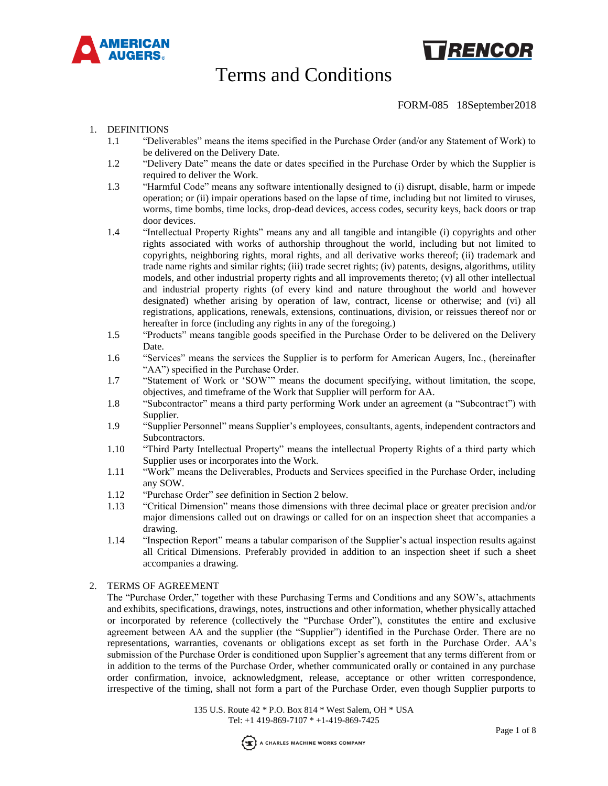



## FORM-085 18September2018

### 1. DEFINITIONS

- 1.1 "Deliverables" means the items specified in the Purchase Order (and/or any Statement of Work) to be delivered on the Delivery Date.
- 1.2 "Delivery Date" means the date or dates specified in the Purchase Order by which the Supplier is required to deliver the Work.
- 1.3 "Harmful Code" means any software intentionally designed to (i) disrupt, disable, harm or impede operation; or (ii) impair operations based on the lapse of time, including but not limited to viruses, worms, time bombs, time locks, drop-dead devices, access codes, security keys, back doors or trap door devices.
- 1.4 "Intellectual Property Rights" means any and all tangible and intangible (i) copyrights and other rights associated with works of authorship throughout the world, including but not limited to copyrights, neighboring rights, moral rights, and all derivative works thereof; (ii) trademark and trade name rights and similar rights; (iii) trade secret rights; (iv) patents, designs, algorithms, utility models, and other industrial property rights and all improvements thereto; (v) all other intellectual and industrial property rights (of every kind and nature throughout the world and however designated) whether arising by operation of law, contract, license or otherwise; and (vi) all registrations, applications, renewals, extensions, continuations, division, or reissues thereof nor or hereafter in force (including any rights in any of the foregoing.)
- 1.5 "Products" means tangible goods specified in the Purchase Order to be delivered on the Delivery Date.
- 1.6 "Services" means the services the Supplier is to perform for American Augers, Inc., (hereinafter "AA") specified in the Purchase Order.
- 1.7 "Statement of Work or 'SOW'" means the document specifying, without limitation, the scope, objectives, and timeframe of the Work that Supplier will perform for AA.
- 1.8 "Subcontractor" means a third party performing Work under an agreement (a "Subcontract") with Supplier.
- 1.9 "Supplier Personnel" means Supplier's employees, consultants, agents, independent contractors and Subcontractors.
- 1.10 "Third Party Intellectual Property" means the intellectual Property Rights of a third party which Supplier uses or incorporates into the Work.
- 1.11 "Work" means the Deliverables, Products and Services specified in the Purchase Order, including any SOW.
- 1.12 "Purchase Order" *see* definition in Section 2 below.
- 1.13 "Critical Dimension" means those dimensions with three decimal place or greater precision and/or major dimensions called out on drawings or called for on an inspection sheet that accompanies a drawing.
- 1.14 "Inspection Report" means a tabular comparison of the Supplier's actual inspection results against all Critical Dimensions. Preferably provided in addition to an inspection sheet if such a sheet accompanies a drawing.

### 2. TERMS OF AGREEMENT

The "Purchase Order," together with these Purchasing Terms and Conditions and any SOW's, attachments and exhibits, specifications, drawings, notes, instructions and other information, whether physically attached or incorporated by reference (collectively the "Purchase Order"), constitutes the entire and exclusive agreement between AA and the supplier (the "Supplier") identified in the Purchase Order. There are no representations, warranties, covenants or obligations except as set forth in the Purchase Order. AA's submission of the Purchase Order is conditioned upon Supplier's agreement that any terms different from or in addition to the terms of the Purchase Order, whether communicated orally or contained in any purchase order confirmation, invoice, acknowledgment, release, acceptance or other written correspondence, irrespective of the timing, shall not form a part of the Purchase Order, even though Supplier purports to

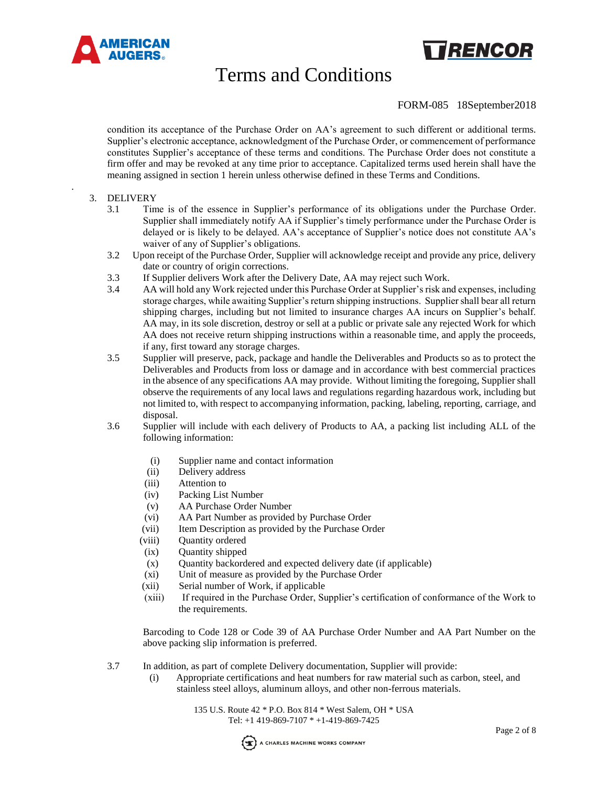

### FORM-085 18September2018

TRENCOR

condition its acceptance of the Purchase Order on AA's agreement to such different or additional terms. Supplier's electronic acceptance, acknowledgment of the Purchase Order, or commencement of performance constitutes Supplier's acceptance of these terms and conditions. The Purchase Order does not constitute a firm offer and may be revoked at any time prior to acceptance. Capitalized terms used herein shall have the meaning assigned in section 1 herein unless otherwise defined in these Terms and Conditions.

### 3. DELIVERY

.

- 3.1 Time is of the essence in Supplier's performance of its obligations under the Purchase Order. Supplier shall immediately notify AA if Supplier's timely performance under the Purchase Order is delayed or is likely to be delayed. AA's acceptance of Supplier's notice does not constitute AA's waiver of any of Supplier's obligations.
- 3.2 Upon receipt of the Purchase Order, Supplier will acknowledge receipt and provide any price, delivery date or country of origin corrections.
- 3.3 If Supplier delivers Work after the Delivery Date, AA may reject such Work.
- 3.4 AA will hold any Work rejected under this Purchase Order at Supplier's risk and expenses, including storage charges, while awaiting Supplier's return shipping instructions. Supplier shall bear all return shipping charges, including but not limited to insurance charges AA incurs on Supplier's behalf. AA may, in its sole discretion, destroy or sell at a public or private sale any rejected Work for which AA does not receive return shipping instructions within a reasonable time, and apply the proceeds, if any, first toward any storage charges.
- 3.5 Supplier will preserve, pack, package and handle the Deliverables and Products so as to protect the Deliverables and Products from loss or damage and in accordance with best commercial practices in the absence of any specifications AA may provide. Without limiting the foregoing, Supplier shall observe the requirements of any local laws and regulations regarding hazardous work, including but not limited to, with respect to accompanying information, packing, labeling, reporting, carriage, and disposal.
- 3.6 Supplier will include with each delivery of Products to AA, a packing list including ALL of the following information:
	- (i) Supplier name and contact information
	- (ii) Delivery address
	- (iii) Attention to
	- (iv) Packing List Number
	- (v) AA Purchase Order Number
	- (vi) AA Part Number as provided by Purchase Order
	- (vii) Item Description as provided by the Purchase Order
	- (viii) Quantity ordered
	- (ix) Quantity shipped
	- (x) Quantity backordered and expected delivery date (if applicable)
	- (xi) Unit of measure as provided by the Purchase Order
	- (xii) Serial number of Work, if applicable
	- (xiii) If required in the Purchase Order, Supplier's certification of conformance of the Work to the requirements.

Barcoding to Code 128 or Code 39 of AA Purchase Order Number and AA Part Number on the above packing slip information is preferred.

- 3.7 In addition, as part of complete Delivery documentation, Supplier will provide:
	- (i) Appropriate certifications and heat numbers for raw material such as carbon, steel, and stainless steel alloys, aluminum alloys, and other non-ferrous materials.

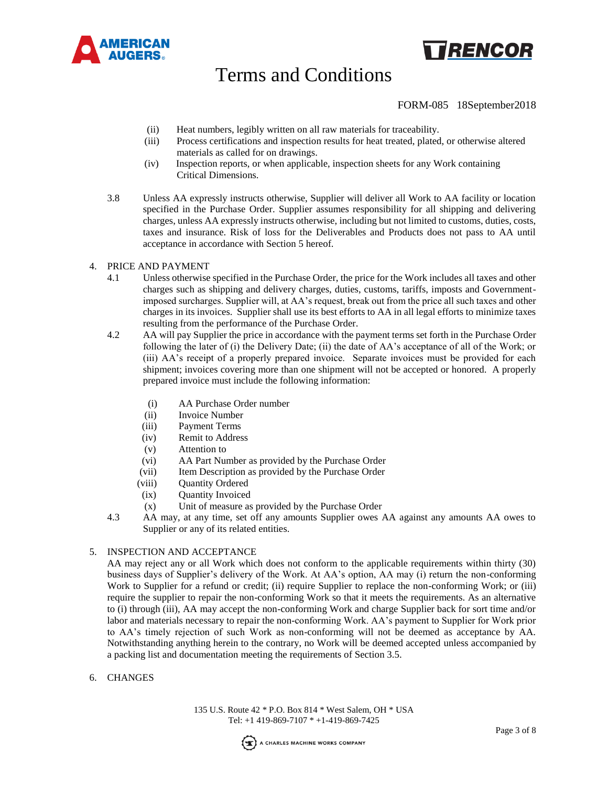



## FORM-085 18September2018

- (ii) Heat numbers, legibly written on all raw materials for traceability.
- (iii) Process certifications and inspection results for heat treated, plated, or otherwise altered materials as called for on drawings.
- (iv) Inspection reports, or when applicable, inspection sheets for any Work containing Critical Dimensions.
- 3.8 Unless AA expressly instructs otherwise, Supplier will deliver all Work to AA facility or location specified in the Purchase Order. Supplier assumes responsibility for all shipping and delivering charges, unless AA expressly instructs otherwise, including but not limited to customs, duties, costs, taxes and insurance. Risk of loss for the Deliverables and Products does not pass to AA until acceptance in accordance with Section 5 hereof.

### 4. PRICE AND PAYMENT

- 4.1 Unless otherwise specified in the Purchase Order, the price for the Work includes all taxes and other charges such as shipping and delivery charges, duties, customs, tariffs, imposts and Governmentimposed surcharges. Supplier will, at AA's request, break out from the price all such taxes and other charges in its invoices. Supplier shall use its best efforts to AA in all legal efforts to minimize taxes resulting from the performance of the Purchase Order.
- 4.2 AA will pay Supplier the price in accordance with the payment terms set forth in the Purchase Order following the later of (i) the Delivery Date; (ii) the date of AA's acceptance of all of the Work; or (iii) AA's receipt of a properly prepared invoice. Separate invoices must be provided for each shipment; invoices covering more than one shipment will not be accepted or honored. A properly prepared invoice must include the following information:
	- (i) AA Purchase Order number
	- (ii) Invoice Number
	- (iii) Payment Terms
	- (iv) Remit to Address
	- (v) Attention to
	- (vi) AA Part Number as provided by the Purchase Order
	- (vii) Item Description as provided by the Purchase Order
	- (viii) Quantity Ordered
	- (ix) Quantity Invoiced
	- (x) Unit of measure as provided by the Purchase Order
- 4.3 AA may, at any time, set off any amounts Supplier owes AA against any amounts AA owes to Supplier or any of its related entities.

## 5. INSPECTION AND ACCEPTANCE

AA may reject any or all Work which does not conform to the applicable requirements within thirty (30) business days of Supplier's delivery of the Work. At AA's option, AA may (i) return the non-conforming Work to Supplier for a refund or credit; (ii) require Supplier to replace the non-conforming Work; or (iii) require the supplier to repair the non-conforming Work so that it meets the requirements. As an alternative to (i) through (iii), AA may accept the non-conforming Work and charge Supplier back for sort time and/or labor and materials necessary to repair the non-conforming Work. AA's payment to Supplier for Work prior to AA's timely rejection of such Work as non-conforming will not be deemed as acceptance by AA. Notwithstanding anything herein to the contrary, no Work will be deemed accepted unless accompanied by a packing list and documentation meeting the requirements of Section 3.5.

### 6. CHANGES

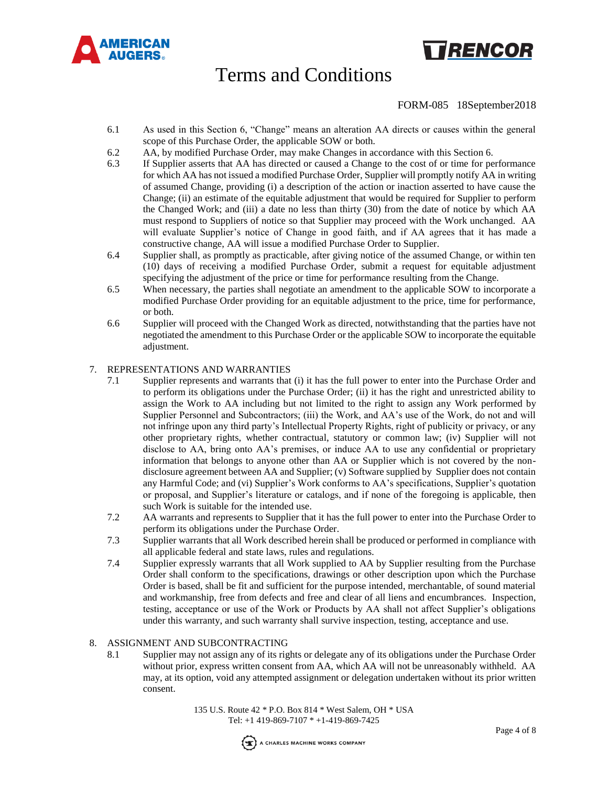

# **TRENCOR**

# Terms and Conditions

## FORM-085 18September2018

- 6.1 As used in this Section 6, "Change" means an alteration AA directs or causes within the general scope of this Purchase Order, the applicable SOW or both.
- 6.2 AA, by modified Purchase Order, may make Changes in accordance with this Section 6.
- 6.3 If Supplier asserts that AA has directed or caused a Change to the cost of or time for performance for which AA has not issued a modified Purchase Order, Supplier will promptly notify AA in writing of assumed Change, providing (i) a description of the action or inaction asserted to have cause the Change; (ii) an estimate of the equitable adjustment that would be required for Supplier to perform the Changed Work; and (iii) a date no less than thirty (30) from the date of notice by which AA must respond to Suppliers of notice so that Supplier may proceed with the Work unchanged. AA will evaluate Supplier's notice of Change in good faith, and if AA agrees that it has made a constructive change, AA will issue a modified Purchase Order to Supplier.
- 6.4 Supplier shall, as promptly as practicable, after giving notice of the assumed Change, or within ten (10) days of receiving a modified Purchase Order, submit a request for equitable adjustment specifying the adjustment of the price or time for performance resulting from the Change.
- 6.5 When necessary, the parties shall negotiate an amendment to the applicable SOW to incorporate a modified Purchase Order providing for an equitable adjustment to the price, time for performance, or both.
- 6.6 Supplier will proceed with the Changed Work as directed, notwithstanding that the parties have not negotiated the amendment to this Purchase Order or the applicable SOW to incorporate the equitable adjustment.

### 7. REPRESENTATIONS AND WARRANTIES

- 7.1 Supplier represents and warrants that (i) it has the full power to enter into the Purchase Order and to perform its obligations under the Purchase Order; (ii) it has the right and unrestricted ability to assign the Work to AA including but not limited to the right to assign any Work performed by Supplier Personnel and Subcontractors; (iii) the Work, and AA's use of the Work, do not and will not infringe upon any third party's Intellectual Property Rights, right of publicity or privacy, or any other proprietary rights, whether contractual, statutory or common law; (iv) Supplier will not disclose to AA, bring onto AA's premises, or induce AA to use any confidential or proprietary information that belongs to anyone other than AA or Supplier which is not covered by the nondisclosure agreement between AA and Supplier; (v) Software supplied by Supplier does not contain any Harmful Code; and (vi) Supplier's Work conforms to AA's specifications, Supplier's quotation or proposal, and Supplier's literature or catalogs, and if none of the foregoing is applicable, then such Work is suitable for the intended use.
- 7.2 AA warrants and represents to Supplier that it has the full power to enter into the Purchase Order to perform its obligations under the Purchase Order.
- 7.3 Supplier warrants that all Work described herein shall be produced or performed in compliance with all applicable federal and state laws, rules and regulations.
- 7.4 Supplier expressly warrants that all Work supplied to AA by Supplier resulting from the Purchase Order shall conform to the specifications, drawings or other description upon which the Purchase Order is based, shall be fit and sufficient for the purpose intended, merchantable, of sound material and workmanship, free from defects and free and clear of all liens and encumbrances. Inspection, testing, acceptance or use of the Work or Products by AA shall not affect Supplier's obligations under this warranty, and such warranty shall survive inspection, testing, acceptance and use.

### 8. ASSIGNMENT AND SUBCONTRACTING

8.1 Supplier may not assign any of its rights or delegate any of its obligations under the Purchase Order without prior, express written consent from AA, which AA will not be unreasonably withheld. AA may, at its option, void any attempted assignment or delegation undertaken without its prior written consent.

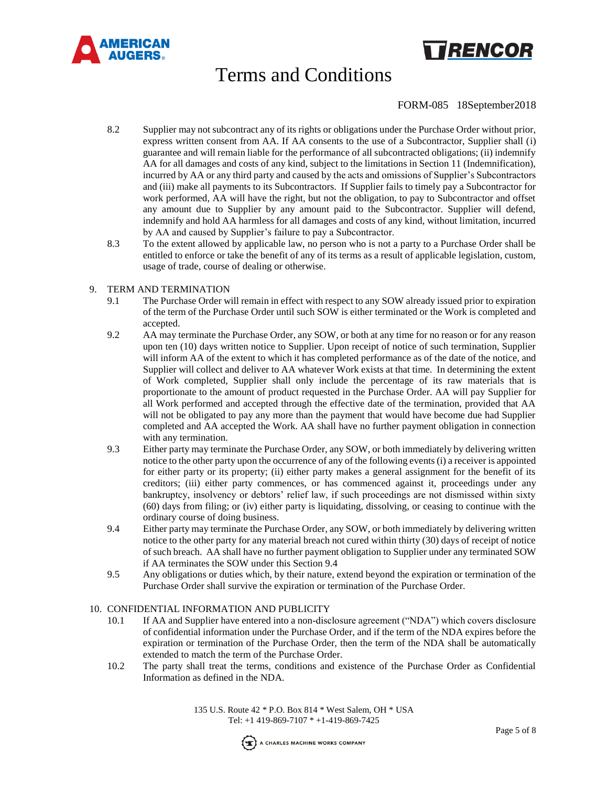

# TRENCOR

# Terms and Conditions

## FORM-085 18September2018

- 8.2 Supplier may not subcontract any of its rights or obligations under the Purchase Order without prior, express written consent from AA. If AA consents to the use of a Subcontractor, Supplier shall (i) guarantee and will remain liable for the performance of all subcontracted obligations; (ii) indemnify AA for all damages and costs of any kind, subject to the limitations in Section 11 (Indemnification), incurred by AA or any third party and caused by the acts and omissions of Supplier's Subcontractors and (iii) make all payments to its Subcontractors. If Supplier fails to timely pay a Subcontractor for work performed, AA will have the right, but not the obligation, to pay to Subcontractor and offset any amount due to Supplier by any amount paid to the Subcontractor. Supplier will defend, indemnify and hold AA harmless for all damages and costs of any kind, without limitation, incurred by AA and caused by Supplier's failure to pay a Subcontractor.
- 8.3 To the extent allowed by applicable law, no person who is not a party to a Purchase Order shall be entitled to enforce or take the benefit of any of its terms as a result of applicable legislation, custom, usage of trade, course of dealing or otherwise.

### 9. TERM AND TERMINATION

- 9.1 The Purchase Order will remain in effect with respect to any SOW already issued prior to expiration of the term of the Purchase Order until such SOW is either terminated or the Work is completed and accepted.
- 9.2 AA may terminate the Purchase Order, any SOW, or both at any time for no reason or for any reason upon ten (10) days written notice to Supplier. Upon receipt of notice of such termination, Supplier will inform AA of the extent to which it has completed performance as of the date of the notice, and Supplier will collect and deliver to AA whatever Work exists at that time. In determining the extent of Work completed, Supplier shall only include the percentage of its raw materials that is proportionate to the amount of product requested in the Purchase Order. AA will pay Supplier for all Work performed and accepted through the effective date of the termination, provided that AA will not be obligated to pay any more than the payment that would have become due had Supplier completed and AA accepted the Work. AA shall have no further payment obligation in connection with any termination.
- 9.3 Either party may terminate the Purchase Order, any SOW, or both immediately by delivering written notice to the other party upon the occurrence of any of the following events (i) a receiver is appointed for either party or its property; (ii) either party makes a general assignment for the benefit of its creditors; (iii) either party commences, or has commenced against it, proceedings under any bankruptcy, insolvency or debtors' relief law, if such proceedings are not dismissed within sixty (60) days from filing; or (iv) either party is liquidating, dissolving, or ceasing to continue with the ordinary course of doing business.
- 9.4 Either party may terminate the Purchase Order, any SOW, or both immediately by delivering written notice to the other party for any material breach not cured within thirty (30) days of receipt of notice of such breach. AA shall have no further payment obligation to Supplier under any terminated SOW if AA terminates the SOW under this Section 9.4
- 9.5 Any obligations or duties which, by their nature, extend beyond the expiration or termination of the Purchase Order shall survive the expiration or termination of the Purchase Order.

### 10. CONFIDENTIAL INFORMATION AND PUBLICITY

- 10.1 If AA and Supplier have entered into a non-disclosure agreement ("NDA") which covers disclosure of confidential information under the Purchase Order, and if the term of the NDA expires before the expiration or termination of the Purchase Order, then the term of the NDA shall be automatically extended to match the term of the Purchase Order.
- 10.2 The party shall treat the terms, conditions and existence of the Purchase Order as Confidential Information as defined in the NDA.

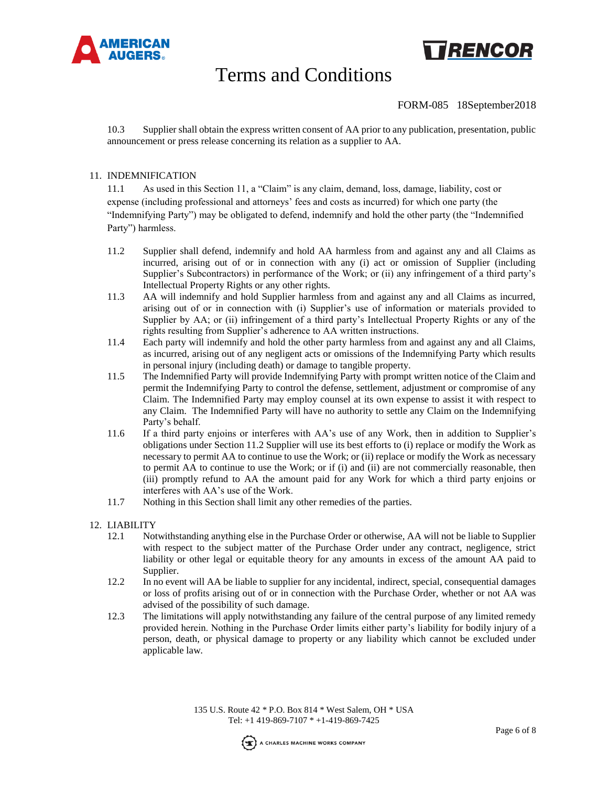



## FORM-085 18September2018

10.3 Supplier shall obtain the express written consent of AA prior to any publication, presentation, public announcement or press release concerning its relation as a supplier to AA.

### 11. INDEMNIFICATION

11.1 As used in this Section 11, a "Claim" is any claim, demand, loss, damage, liability, cost or expense (including professional and attorneys' fees and costs as incurred) for which one party (the "Indemnifying Party") may be obligated to defend, indemnify and hold the other party (the "Indemnified Party") harmless.

- 11.2 Supplier shall defend, indemnify and hold AA harmless from and against any and all Claims as incurred, arising out of or in connection with any (i) act or omission of Supplier (including Supplier's Subcontractors) in performance of the Work; or (ii) any infringement of a third party's Intellectual Property Rights or any other rights.
- 11.3 AA will indemnify and hold Supplier harmless from and against any and all Claims as incurred, arising out of or in connection with (i) Supplier's use of information or materials provided to Supplier by AA; or (ii) infringement of a third party's Intellectual Property Rights or any of the rights resulting from Supplier's adherence to AA written instructions.
- 11.4 Each party will indemnify and hold the other party harmless from and against any and all Claims, as incurred, arising out of any negligent acts or omissions of the Indemnifying Party which results in personal injury (including death) or damage to tangible property.
- 11.5 The Indemnified Party will provide Indemnifying Party with prompt written notice of the Claim and permit the Indemnifying Party to control the defense, settlement, adjustment or compromise of any Claim. The Indemnified Party may employ counsel at its own expense to assist it with respect to any Claim. The Indemnified Party will have no authority to settle any Claim on the Indemnifying Party's behalf.
- 11.6 If a third party enjoins or interferes with AA's use of any Work, then in addition to Supplier's obligations under Section 11.2 Supplier will use its best efforts to (i) replace or modify the Work as necessary to permit AA to continue to use the Work; or (ii) replace or modify the Work as necessary to permit AA to continue to use the Work; or if (i) and (ii) are not commercially reasonable, then (iii) promptly refund to AA the amount paid for any Work for which a third party enjoins or interferes with AA's use of the Work.
- 11.7 Nothing in this Section shall limit any other remedies of the parties.
- 12. LIABILITY
	- 12.1 Notwithstanding anything else in the Purchase Order or otherwise, AA will not be liable to Supplier with respect to the subject matter of the Purchase Order under any contract, negligence, strict liability or other legal or equitable theory for any amounts in excess of the amount AA paid to Supplier.
	- 12.2 In no event will AA be liable to supplier for any incidental, indirect, special, consequential damages or loss of profits arising out of or in connection with the Purchase Order, whether or not AA was advised of the possibility of such damage.
	- 12.3 The limitations will apply notwithstanding any failure of the central purpose of any limited remedy provided herein. Nothing in the Purchase Order limits either party's liability for bodily injury of a person, death, or physical damage to property or any liability which cannot be excluded under applicable law.

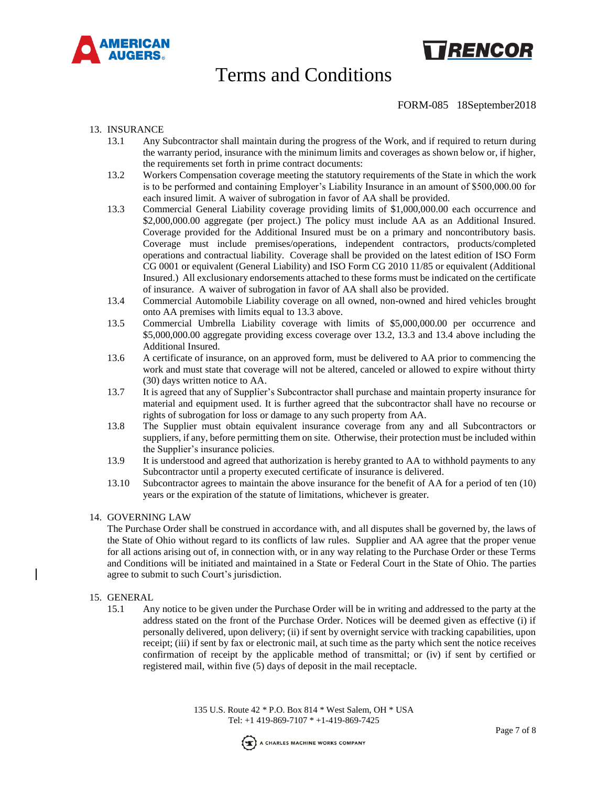



FORM-085 18September2018

### 13. INSURANCE

- 13.1 Any Subcontractor shall maintain during the progress of the Work, and if required to return during the warranty period, insurance with the minimum limits and coverages as shown below or, if higher, the requirements set forth in prime contract documents:
- 13.2 Workers Compensation coverage meeting the statutory requirements of the State in which the work is to be performed and containing Employer's Liability Insurance in an amount of \$500,000.00 for each insured limit. A waiver of subrogation in favor of AA shall be provided.
- 13.3 Commercial General Liability coverage providing limits of \$1,000,000.00 each occurrence and \$2,000,000.00 aggregate (per project.) The policy must include AA as an Additional Insured. Coverage provided for the Additional Insured must be on a primary and noncontributory basis. Coverage must include premises/operations, independent contractors, products/completed operations and contractual liability. Coverage shall be provided on the latest edition of ISO Form CG 0001 or equivalent (General Liability) and ISO Form CG 2010 11/85 or equivalent (Additional Insured.) All exclusionary endorsements attached to these forms must be indicated on the certificate of insurance. A waiver of subrogation in favor of AA shall also be provided.
- 13.4 Commercial Automobile Liability coverage on all owned, non-owned and hired vehicles brought onto AA premises with limits equal to 13.3 above.
- 13.5 Commercial Umbrella Liability coverage with limits of \$5,000,000.00 per occurrence and \$5,000,000.00 aggregate providing excess coverage over 13.2, 13.3 and 13.4 above including the Additional Insured.
- 13.6 A certificate of insurance, on an approved form, must be delivered to AA prior to commencing the work and must state that coverage will not be altered, canceled or allowed to expire without thirty (30) days written notice to AA.
- 13.7 It is agreed that any of Supplier's Subcontractor shall purchase and maintain property insurance for material and equipment used. It is further agreed that the subcontractor shall have no recourse or rights of subrogation for loss or damage to any such property from AA.
- 13.8 The Supplier must obtain equivalent insurance coverage from any and all Subcontractors or suppliers, if any, before permitting them on site. Otherwise, their protection must be included within the Supplier's insurance policies.
- 13.9 It is understood and agreed that authorization is hereby granted to AA to withhold payments to any Subcontractor until a property executed certificate of insurance is delivered.
- 13.10 Subcontractor agrees to maintain the above insurance for the benefit of AA for a period of ten (10) years or the expiration of the statute of limitations, whichever is greater.

### 14. GOVERNING LAW

The Purchase Order shall be construed in accordance with, and all disputes shall be governed by, the laws of the State of Ohio without regard to its conflicts of law rules. Supplier and AA agree that the proper venue for all actions arising out of, in connection with, or in any way relating to the Purchase Order or these Terms and Conditions will be initiated and maintained in a State or Federal Court in the State of Ohio. The parties agree to submit to such Court's jurisdiction.

### 15. GENERAL

15.1 Any notice to be given under the Purchase Order will be in writing and addressed to the party at the address stated on the front of the Purchase Order. Notices will be deemed given as effective (i) if personally delivered, upon delivery; (ii) if sent by overnight service with tracking capabilities, upon receipt; (iii) if sent by fax or electronic mail, at such time as the party which sent the notice receives confirmation of receipt by the applicable method of transmittal; or (iv) if sent by certified or registered mail, within five (5) days of deposit in the mail receptacle.